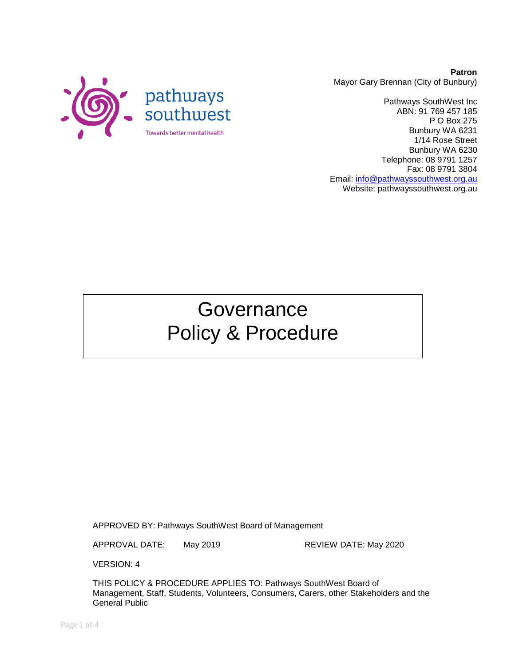

**Patron** Mayor Gary Brennan (City of Bunbury)

Pathways SouthWest Inc ABN: 91 769 457 185 P O Box 275 Bunbury WA 6231 1/14 Rose Street Bunbury WA 6230 Telephone: 08 9791 1257 Fax: 08 9791 3804 Email: [info@pathwayssouthwest.org.au](mailto:info@pathwayssouthwest.org.au) Website: pathwayssouthwest.org.au

# **Governance** Policy & Procedure

APPROVED BY: Pathways SouthWest Board of Management

APPROVAL DATE: May 2019 REVIEW DATE: May 2020

VERSION: 4

THIS POLICY & PROCEDURE APPLIES TO: Pathways SouthWest Board of Management, Staff, Students, Volunteers, Consumers, Carers, other Stakeholders and the General Public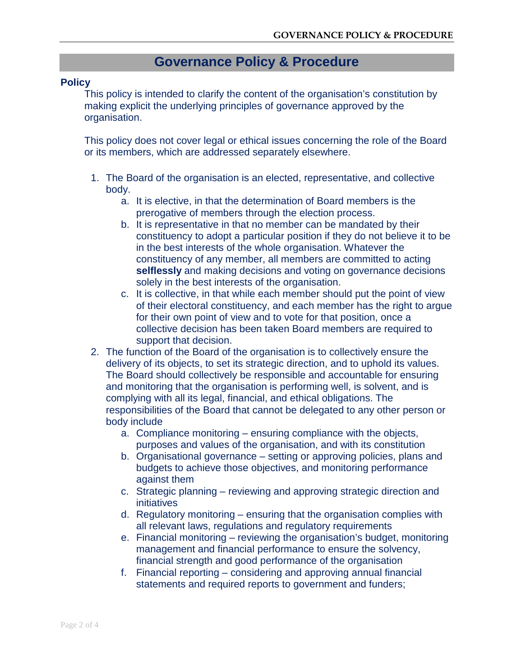# **Governance Policy & Procedure**

#### **Policy**

This policy is intended to clarify the content of the organisation's constitution by making explicit the underlying principles of governance approved by the organisation.

This policy does not cover legal or ethical issues concerning the role of the Board or its members, which are addressed separately elsewhere.

- 1. The Board of the organisation is an elected, representative, and collective body.
	- a. It is elective, in that the determination of Board members is the prerogative of members through the election process.
	- b. It is representative in that no member can be mandated by their constituency to adopt a particular position if they do not believe it to be in the best interests of the whole organisation. Whatever the constituency of any member, all members are committed to acting **selflessly** and making decisions and voting on governance decisions solely in the best interests of the organisation.
	- c. It is collective, in that while each member should put the point of view of their electoral constituency, and each member has the right to argue for their own point of view and to vote for that position, once a collective decision has been taken Board members are required to support that decision.
- 2. The function of the Board of the organisation is to collectively ensure the delivery of its objects, to set its strategic direction, and to uphold its values. The Board should collectively be responsible and accountable for ensuring and monitoring that the organisation is performing well, is solvent, and is complying with all its legal, financial, and ethical obligations. The responsibilities of the Board that cannot be delegated to any other person or body include
	- a. Compliance monitoring ensuring compliance with the objects, purposes and values of the organisation, and with its constitution
	- b. Organisational governance setting or approving policies, plans and budgets to achieve those objectives, and monitoring performance against them
	- c. Strategic planning reviewing and approving strategic direction and initiatives
	- d. Regulatory monitoring ensuring that the organisation complies with all relevant laws, regulations and regulatory requirements
	- e. Financial monitoring reviewing the organisation's budget, monitoring management and financial performance to ensure the solvency, financial strength and good performance of the organisation
	- f. Financial reporting considering and approving annual financial statements and required reports to government and funders;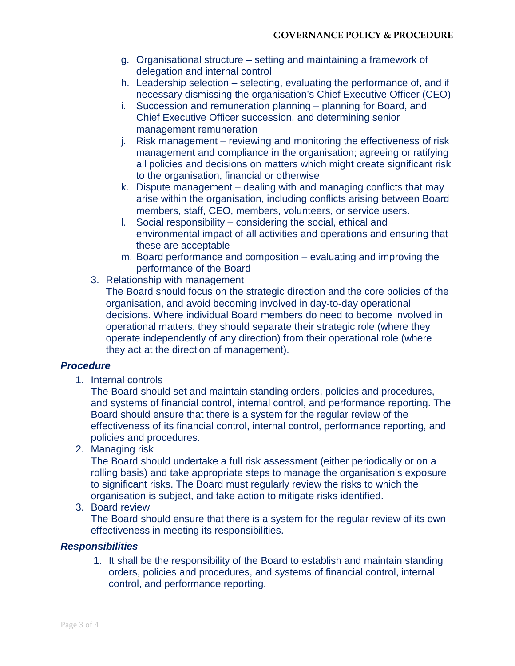- g. Organisational structure setting and maintaining a framework of delegation and internal control
- h. Leadership selection selecting, evaluating the performance of, and if necessary dismissing the organisation's Chief Executive Officer (CEO)
- i. Succession and remuneration planning planning for Board, and Chief Executive Officer succession, and determining senior management remuneration
- j. Risk management reviewing and monitoring the effectiveness of risk management and compliance in the organisation; agreeing or ratifying all policies and decisions on matters which might create significant risk to the organisation, financial or otherwise
- k. Dispute management dealing with and managing conflicts that may arise within the organisation, including conflicts arising between Board members, staff, CEO, members, volunteers, or service users.
- l. Social responsibility considering the social, ethical and environmental impact of all activities and operations and ensuring that these are acceptable
- m. Board performance and composition evaluating and improving the performance of the Board
- 3. Relationship with management

The Board should focus on the strategic direction and the core policies of the organisation, and avoid becoming involved in day-to-day operational decisions. Where individual Board members do need to become involved in operational matters, they should separate their strategic role (where they operate independently of any direction) from their operational role (where they act at the direction of management).

#### *Procedure*

1. Internal controls

The Board should set and maintain standing orders, policies and procedures, and systems of financial control, internal control, and performance reporting. The Board should ensure that there is a system for the regular review of the effectiveness of its financial control, internal control, performance reporting, and policies and procedures.

2. Managing risk

The Board should undertake a full risk assessment (either periodically or on a rolling basis) and take appropriate steps to manage the organisation's exposure to significant risks. The Board must regularly review the risks to which the organisation is subject, and take action to mitigate risks identified.

3. Board review

The Board should ensure that there is a system for the regular review of its own effectiveness in meeting its responsibilities.

## *Responsibilities*

1. It shall be the responsibility of the Board to establish and maintain standing orders, policies and procedures, and systems of financial control, internal control, and performance reporting.